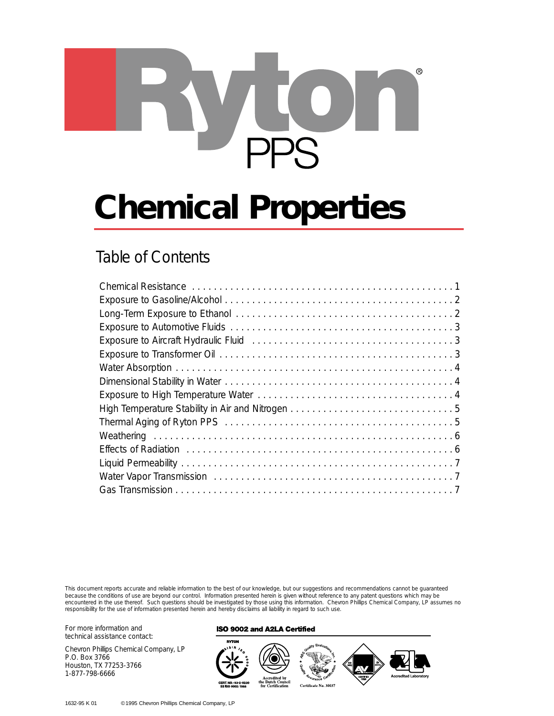

# **Chemical Properties**

# Table of Contents

| Exposure to Aircraft Hydraulic Fluid (and the context of the context of the System of System of System of System of System of System of System of System of System of System of System of System of System of System of System |
|--------------------------------------------------------------------------------------------------------------------------------------------------------------------------------------------------------------------------------|
|                                                                                                                                                                                                                                |
|                                                                                                                                                                                                                                |
|                                                                                                                                                                                                                                |
|                                                                                                                                                                                                                                |
|                                                                                                                                                                                                                                |
|                                                                                                                                                                                                                                |
|                                                                                                                                                                                                                                |
|                                                                                                                                                                                                                                |
|                                                                                                                                                                                                                                |
|                                                                                                                                                                                                                                |
|                                                                                                                                                                                                                                |

This document reports accurate and reliable information to the best of our knowledge, but our suggestions and recommendations cannot be guaranteed because the conditions of use are beyond our control. Information presented herein is given without reference to any patent questions which may be encountered in the use thereof. Such questions should be investigated by those using this information. Chevron Phillips Chemical Company, LP assumes no responsibility for the use of information presented herein and hereby disclaims all liability in regard to such use.

For more information and technical assistance contact:

Chevron Phillips Chemical Company, LP P.O. Box 3766 Houston, TX 77253-3766 1-877-798-6666

#### **ISO 9002 and A2LA Certified**

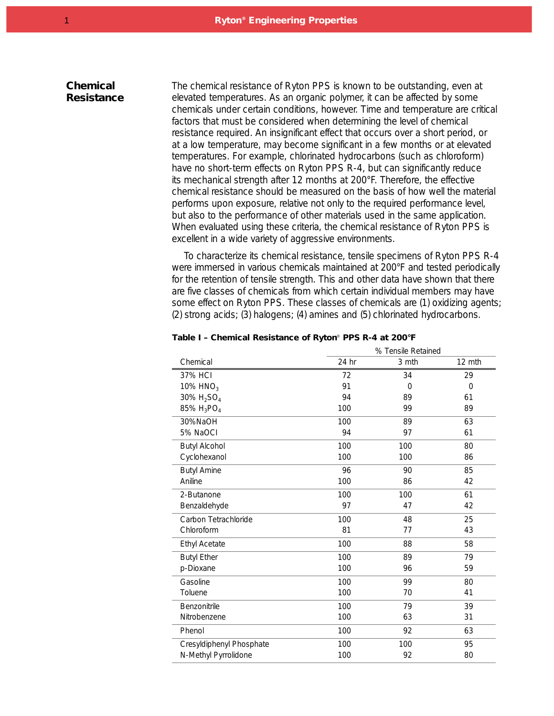## **Chemical Resistance**

The chemical resistance of Ryton PPS is known to be outstanding, even at elevated temperatures. As an organic polymer, it can be affected by some chemicals under certain conditions, however. Time and temperature are critical factors that must be considered when determining the level of chemical resistance required. An insignificant effect that occurs over a short period, or at a low temperature, may become significant in a few months or at elevated temperatures. For example, chlorinated hydrocarbons (such as chloroform) have no short-term effects on Ryton PPS R-4, but can significantly reduce its mechanical strength after 12 months at 200°F. Therefore, the effective chemical resistance should be measured on the basis of how well the material performs upon exposure, relative not only to the required performance level, but also to the performance of other materials used in the same application. When evaluated using these criteria, the chemical resistance of Ryton PPS is excellent in a wide variety of aggressive environments.

To characterize its chemical resistance, tensile specimens of Ryton PPS R-4 were immersed in various chemicals maintained at 200°F and tested periodically for the retention of tensile strength. This and other data have shown that there are five classes of chemicals from which certain individual members may have some effect on Ryton PPS. These classes of chemicals are (1) oxidizing agents; (2) strong acids; (3) halogens; (4) amines and (5) chlorinated hydrocarbons.

|                                    | % Tensile Retained |          |          |
|------------------------------------|--------------------|----------|----------|
| Chemical                           | 24 hr              | 3 mth    | 12 mth   |
| 37% HCI                            | 72                 | 34       | 29       |
| 10% HNO <sub>3</sub>               | 91                 | $\Omega$ | $\Omega$ |
| 30% $H_2SO_4$                      | 94                 | 89       | 61       |
| 85% H <sub>3</sub> PO <sub>4</sub> | 100                | 99       | 89       |
| 30%NaOH                            | 100                | 89       | 63       |
| 5% NaOCI                           | 94                 | 97       | 61       |
| <b>Butyl Alcohol</b>               | 100                | 100      | 80       |
| Cyclohexanol                       | 100                | 100      | 86       |
| <b>Butyl Amine</b>                 | 96                 | 90       | 85       |
| Aniline                            | 100                | 86       | 42       |
| 2-Butanone                         | 100                | 100      | 61       |
| Benzaldehyde                       | 97                 | 47       | 42       |
| Carbon Tetrachloride               | 100                | 48       | 25       |
| Chloroform                         | 81                 | 77       | 43       |
| <b>Ethyl Acetate</b>               | 100                | 88       | 58       |
| <b>Butyl Ether</b>                 | 100                | 89       | 79       |
| p-Dioxane                          | 100                | 96       | 59       |
| Gasoline                           | 100                | 99       | 80       |
| Toluene                            | 100                | 70       | 41       |
| Benzonitrile                       | 100                | 79       | 39       |
| Nitrobenzene                       | 100                | 63       | 31       |
| Phenol                             | 100                | 92       | 63       |
| Cresyldiphenyl Phosphate           | 100                | 100      | 95       |
| N-Methyl Pyrrolidone               | 100                | 92       | 80       |
|                                    |                    |          |          |

#### **Table I – Chemical Resistance of Ryton**® **PPS R-4 at 200°F**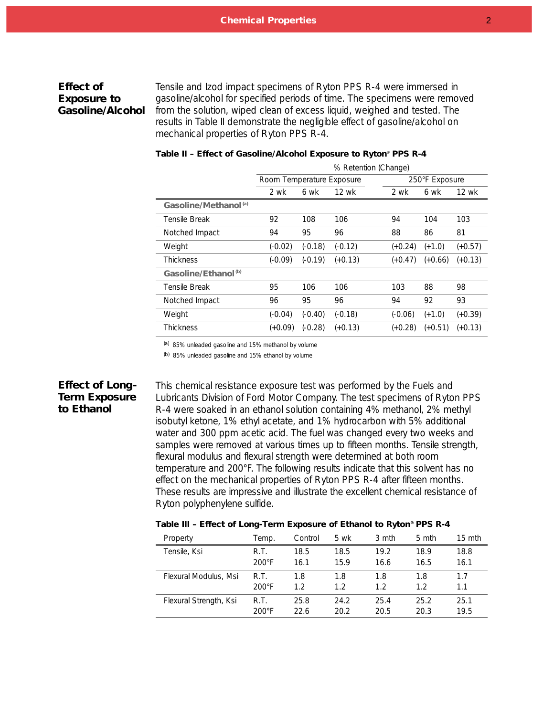## **Effect of Exposure to Gasoline/Alcohol**

Tensile and Izod impact specimens of Ryton PPS R-4 were immersed in gasoline/alcohol for specified periods of time. The specimens were removed from the solution, wiped clean of excess liquid, weighed and tested. The results in *Table II* demonstrate the negligible effect of gasoline/alcohol on mechanical properties of Ryton PPS R-4.

|                                  | % Retention (Change)      |           |           |                |           |              |
|----------------------------------|---------------------------|-----------|-----------|----------------|-----------|--------------|
|                                  | Room Temperature Exposure |           |           | 250°F Exposure |           |              |
|                                  | 2 wk                      | 6 wk      | 12 wk     | 2 wk           | 6 wk      | <b>12 wk</b> |
| Gasoline/Methanol <sup>(a)</sup> |                           |           |           |                |           |              |
| Tensile Break                    | 92                        | 108       | 106       | 94             | 104       | 103          |
| Notched Impact                   | 94                        | 95        | 96        | 88             | 86        | 81           |
| Weight                           | $(-0.02)$                 | $(-0.18)$ | $(-0.12)$ | $(+0.24)$      | $(+1.0)$  | $(+0.57)$    |
| Thickness                        | $(-0.09)$                 | $(-0.19)$ | $(+0.13)$ | $(+0.47)$      | $(+0.66)$ | $(+0.13)$    |
| Gasoline/Ethanol <sup>(b)</sup>  |                           |           |           |                |           |              |
| Tensile Break                    | 95                        | 106       | 106       | 103            | 88        | 98           |
| Notched Impact                   | 96                        | 95        | 96        | 94             | 92        | 93           |
| Weight                           | $(-0.04)$                 | $(-0.40)$ | $(-0.18)$ | $(-0.06)$      | $(+1.0)$  | (+0.39)      |
| Thickness                        | (+0.09)                   | $(-0.28)$ | $(+0.13)$ | (+0.28)        | $(+0.51)$ | (+0.13)      |

#### **Table II – Effect of Gasoline/Alcohol Exposure to Ryton**® **PPS R-4**

(a) 85% unleaded gasoline and 15% methanol by volume

(b) 85% unleaded gasoline and 15% ethanol by volume

## **Effect of Long-Term Exposure to Ethanol**

This chemical resistance exposure test was performed by the Fuels and Lubricants Division of Ford Motor Company. The test specimens of Ryton PPS R-4 were soaked in an ethanol solution containing 4% methanol, 2% methyl isobutyl ketone, 1% ethyl acetate, and 1% hydrocarbon with 5% additional water and 300 ppm acetic acid. The fuel was changed every two weeks and samples were removed at various times up to fifteen months. Tensile strength, flexural modulus and flexural strength were determined at both room temperature and 200°F. The following results indicate that this solvent has no effect on the mechanical properties of Ryton PPS R-4 after fifteen months. These results are impressive and illustrate the excellent chemical resistance of Ryton polyphenylene sulfide.

| Property               | Temp.           | Control | 5 wk | 3 mth | 5 mth | $15 \text{ mth}$ |
|------------------------|-----------------|---------|------|-------|-------|------------------|
| Tensile, Ksi           | R.T.            | 18.5    | 18.5 | 19.2  | 18.9  | 18.8             |
|                        | $200^{\circ}$ F | 16.1    | 15.9 | 16.6  | 16.5  | 16.1             |
| Flexural Modulus, Msi  | R.T.            | 1.8     | 1.8  | 1.8   | 1.8   | 1.7              |
|                        | $200^{\circ}$ F | 12      | 1.2  | 12    | 1.2   | 1.1              |
| Flexural Strength, Ksi | R.T.            | 25.8    | 24.2 | 25.4  | 25.2  | 25.1             |
|                        | $200^{\circ}$ F | 22.6    | 20.2 | 20.5  | 20.3  | 19.5             |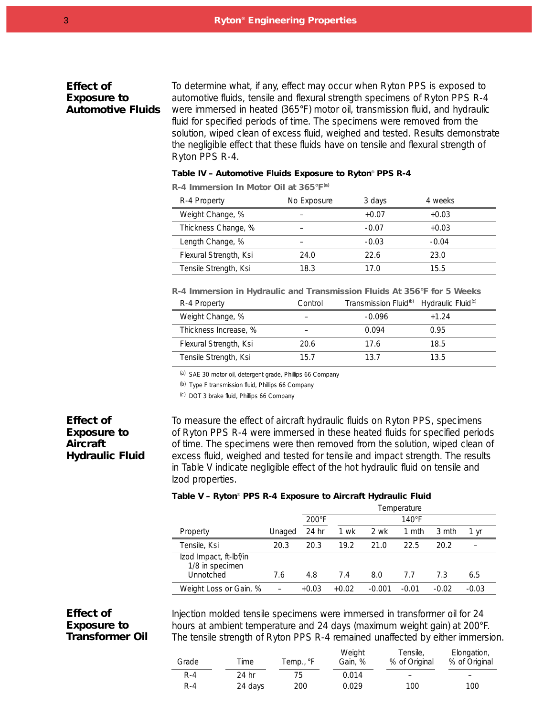### **Effect of Exposure to Automotive Fluids**

To determine what, if any, effect may occur when Ryton PPS is exposed to automotive fluids, tensile and flexural strength specimens of Ryton PPS R-4 were immersed in heated (365°F) motor oil, transmission fluid, and hydraulic fluid for specified periods of time. The specimens were removed from the solution, wiped clean of excess fluid, weighed and tested. Results demonstrate the negligible effect that these fluids have on tensile and flexural strength of Ryton PPS R-4.

#### **Table IV – Automotive Fluids Exposure to Ryton**® **PPS R-4**

**R-4 Immersion In Motor Oil at 365°F(a)**

| R-4 Property           | No Exposure | 3 days  | 4 weeks |
|------------------------|-------------|---------|---------|
| Weight Change, %       |             | $+0.07$ | $+0.03$ |
| Thickness Change, %    |             | $-0.07$ | $+0.03$ |
| Length Change, %       |             | $-0.03$ | $-0.04$ |
| Flexural Strength, Ksi | 24.0        | 22.6    | 23.0    |
| Tensile Strength, Ksi  | 18.3        | 17 በ    | 15.5    |

**R-4 Immersion in Hydraulic and Transmission Fluids At 356°F for 5 Weeks** R-4 Property Control Transmission Fluid<sup>(b)</sup> Hydraulic Fluid<sup>(c)</sup>

| $15 - 4110$            | vu ili vi | <b>ITALIJIIIJJIULI LIULU</b> | TIYULUULU TIULU |  |
|------------------------|-----------|------------------------------|-----------------|--|
| Weight Change, %       | -         | -0.096                       | $+1.24$         |  |
| Thickness Increase, %  | -         | 0.094                        | 0.95            |  |
| Flexural Strength, Ksi | 20.6      | 17.6                         | 18.5            |  |
| Tensile Strength, Ksi  | 15.7      | 13.7                         | 13.5            |  |

(a) SAE 30 motor oil, detergent grade, Phillips 66 Company

(b) Type F transmission fluid, Phillips 66 Company

(c) DOT 3 brake fluid, Phillips 66 Company

## **Effect of Exposure to Aircraft Hydraulic Fluid**

To measure the effect of aircraft hydraulic fluids on Ryton PPS, specimens of Ryton PPS R-4 were immersed in these heated fluids for specified periods of time. The specimens were then removed from the solution, wiped clean of excess fluid, weighed and tested for tensile and impact strength. The results in *Table V* indicate negligible effect of the hot hydraulic fluid on tensile and Izod properties.

#### **Table V – Ryton**® **PPS R-4 Exposure to Aircraft Hydraulic Fluid**

|                                                        |        |                 | Temperature |          |                 |         |         |
|--------------------------------------------------------|--------|-----------------|-------------|----------|-----------------|---------|---------|
|                                                        |        | $200^{\circ}$ F |             |          | $140^{\circ}$ F |         |         |
| Property                                               | Unaged | 24 hr           | 1 wk        | 2 wk     | 1 mth           | 3 mth   | 1 yr    |
| Tensile, Ksi                                           | 20.3   | 20.3            | 19.2        | 21.0     | 22.5            | 20.2    |         |
| Izod Impact, ft-Ibf/in<br>1/8 in specimen<br>Unnotched | 7.6    | 4.8             | 7.4         | 8.0      | 7.7             | 7.3     | 6.5     |
|                                                        |        |                 |             |          |                 |         |         |
| Weight Loss or Gain, %                                 |        | $+0.03$         | $+0.02$     | $-0.001$ | -0.01           | $-0.02$ | $-0.03$ |

## **Effect of Exposure to Transformer Oil**

Injection molded tensile specimens were immersed in transformer oil for 24 hours at ambient temperature and 24 days (maximum weight gain) at 200°F. The tensile strength of Ryton PPS R-4 remained unaffected by either immersion.

| Grade | Time    | Temp., °F | Weight<br>Gain, % | Tensile,<br>% of Original | Elongation,<br>% of Original |
|-------|---------|-----------|-------------------|---------------------------|------------------------------|
| R-4   | 24 hr   | 75.       | 0.014             |                           | $\overline{\phantom{0}}$     |
| R-4   | 24 days | 200       | 0.029             | 100                       | 100                          |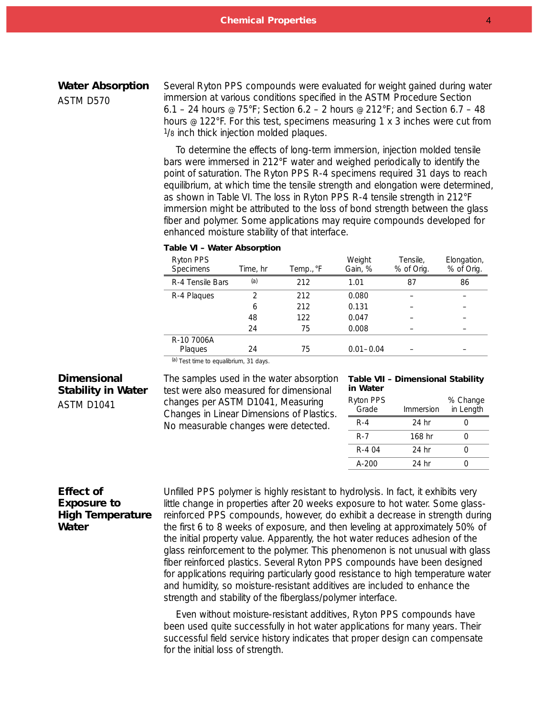#### **Water Absorption**

*ASTM D570*

Several Ryton PPS compounds were evaluated for weight gained during water immersion at various conditions specified in the ASTM Procedure Section 6.1 – 24 hours @ 75°F; Section 6.2 – 2 hours @ 212°F; and Section 6.7 – 48 hours @ 122°F. For this test, specimens measuring 1 x 3 inches were cut from 1/8 inch thick injection molded plaques.

To determine the effects of long-term immersion, injection molded tensile bars were immersed in 212°F water and weighed periodically to identify the point of saturation. The Ryton PPS R-4 specimens required 31 days to reach equilibrium, at which time the tensile strength and elongation were determined, as shown in *Table VI*. The loss in Ryton PPS R-4 tensile strength in 212°F immersion might be attributed to the loss of bond strength between the glass fiber and polymer. Some applications may require compounds developed for enhanced moisture stability of that interface.

#### **Table VI – Water Absorption**

| Ryton PPS<br>Specimens | Time, hr | Temp., °F | Weight<br>Gain, % | Tensile,<br>% of Orig. | Elongation,<br>% of Orig. |
|------------------------|----------|-----------|-------------------|------------------------|---------------------------|
| R-4 Tensile Bars       | (a)      | 212       | 1.01              | 87                     | 86                        |
| R-4 Plaques            | っ        | 212       | 0.080             |                        |                           |
|                        | 6        | 212       | 0.131             |                        |                           |
|                        | 48       | 122       | 0.047             |                        |                           |
|                        | 24       | 75        | 0.008             |                        |                           |
| R-10 7006A             |          |           |                   |                        |                           |
| Plaques                | 24       | 75        | $0.01 - 0.04$     |                        |                           |

(a) Test time to equalibrium, 31 days.

#### **Dimensional Stability in Water**

*ASTM D1041*

The samples used in the water absorption **Table VII – Dimensional Stability** test were also measured for dimensional changes per ASTM D1041, Measuring Changes in Linear Dimensions of Plastics. No measurable changes were detected.

## **in Water**

| Ryton PPS<br>Grade | Immersion | % Change<br>in Length |
|--------------------|-----------|-----------------------|
| $R - 4$            | 24 hr     |                       |
| R-7                | 168 hr    |                       |
| R-4 04             | 24 hr     | ( )                   |
| $A - 200$          | 24 hr     |                       |

## **Effect of Exposure to High Temperature Water**

Unfilled PPS polymer is highly resistant to hydrolysis. In fact, it exhibits very little change in properties after 20 weeks exposure to hot water. Some glassreinforced PPS compounds, however, do exhibit a decrease in strength during the first 6 to 8 weeks of exposure, and then leveling at approximately 50% of the initial property value. Apparently, the hot water reduces adhesion of the glass reinforcement to the polymer. This phenomenon is not unusual with glass fiber reinforced plastics. Several Ryton PPS compounds have been designed for applications requiring particularly good resistance to high temperature water and humidity, so moisture-resistant additives are included to enhance the strength and stability of the fiberglass/polymer interface.

Even without moisture-resistant additives, Ryton PPS compounds have been used quite successfully in hot water applications for many years. Their successful field service history indicates that proper design can compensate for the initial loss of strength.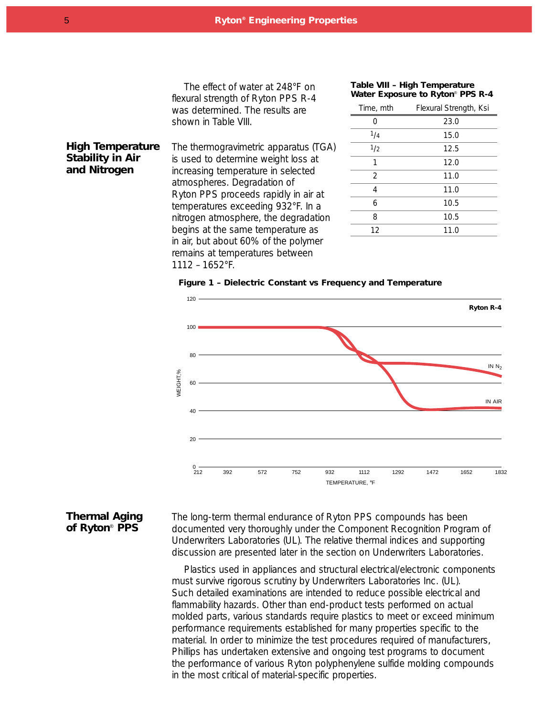The effect of water at 248°F on flexural strength of Ryton PPS R-4 was determined. The results are shown in *Table VIII*.

#### **Table VIII – High Temperature Water Exposure to Ryton**® **PPS R-4**

| Time, mth      | Flexural Strength, Ksi |
|----------------|------------------------|
| Ω              | 23.0                   |
| 1/4            | 15.0                   |
| 1/2            | 12.5                   |
| 1              | 12.0                   |
| $\overline{2}$ | 11.0                   |
| 4              | 11.0                   |
| 6              | 10.5                   |
| 8              | 10.5                   |
| 12             | 11.0                   |
|                |                        |

The thermogravimetric apparatus (TGA) is used to determine weight loss at increasing temperature in selected atmospheres. Degradation of Ryton PPS proceeds rapidly in air at temperatures exceeding 932°F. In a nitrogen atmosphere, the degradation begins at the same temperature as in air, but about 60% of the polymer remains at temperatures between 1112 – 1652°F. **High Temperature Stability in Air and Nitrogen**

#### **Figure 1 – Dielectric Constant vs Frequency and Temperature**



#### **Thermal Aging of Ryton**® **PPS**

The long-term thermal endurance of Ryton PPS compounds has been documented very thoroughly under the Component Recognition Program of Underwriters Laboratories (UL). The relative thermal indices and supporting discussion are presented later in the section on Underwriters Laboratories.

Plastics used in appliances and structural electrical/electronic components must survive rigorous scrutiny by Underwriters Laboratories Inc. (UL). Such detailed examinations are intended to reduce possible electrical and flammability hazards. Other than end-product tests performed on actual molded parts, various standards require plastics to meet or exceed minimum performance requirements established for many properties specific to the material. In order to minimize the test procedures required of manufacturers, Phillips has undertaken extensive and ongoing test programs to document the performance of various Ryton polyphenylene sulfide molding compounds in the most critical of material-specific properties.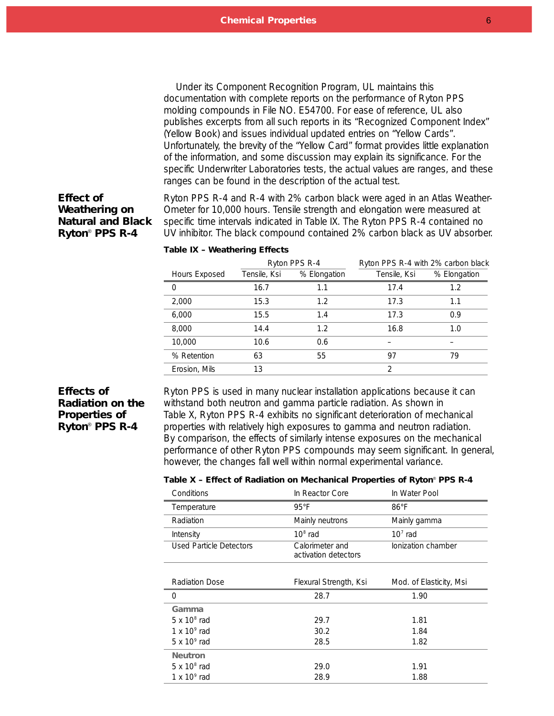Under its Component Recognition Program, UL maintains this documentation with complete reports on the performance of Ryton PPS molding compounds in File NO. E54700. For ease of reference, UL also publishes excerpts from all such reports in its "Recognized Component Index" (Yellow Book) and issues individual updated entries on "Yellow Cards". Unfortunately, the brevity of the "Yellow Card" format provides little explanation of the information, and some discussion may explain its significance. For the specific Underwriter Laboratories tests, the actual values are ranges, and these ranges can be found in the description of the actual test.

## **Effect of Weathering on Natural and Black Ryton**® **PPS R-4**

Ryton PPS R-4 and R-4 with 2% carbon black were aged in an Atlas Weather-Ometer for 10,000 hours. Tensile strength and elongation were measured at specific time intervals indicated in *Table IX*. The Ryton PPS R-4 contained no UV inhibitor. The black compound contained 2% carbon black as UV absorber.

|               | Ryton PPS R-4 |              | Ryton PPS R-4 with 2% carbon black |              |
|---------------|---------------|--------------|------------------------------------|--------------|
| Hours Exposed | Tensile, Ksi  | % Elongation | Tensile, Ksi                       | % Elongation |
| 0             | 16.7          | 1.1          | 17.4                               | 1.2          |
| 2,000         | 15.3          | 1.2          | 17.3                               | 1.1          |
| 6,000         | 15.5          | 1.4          | 17.3                               | 0.9          |
| 8,000         | 14.4          | 1.2          | 16.8                               | 1.0          |
| 10,000        | 10.6          | 0.6          |                                    |              |
| % Retention   | 63            | 55           | 97                                 | 79           |
| Erosion, Mils | 13            |              | $\mathfrak{D}$                     |              |

#### **Table IX – Weathering Effects**

## **Effects of Radiation on the Properties of Ryton**® **PPS R-4**

Ryton PPS is used in many nuclear installation applications because it can withstand both neutron and gamma particle radiation. As shown in *Table X*, Ryton PPS R-4 exhibits no significant deterioration of mechanical properties with relatively high exposures to gamma and neutron radiation. By comparison, the effects of similarly intense exposures on the mechanical performance of other Ryton PPS compounds may seem significant. In general, however, the changes fall well within normal experimental variance.

#### **Table X – Effect of Radiation on Mechanical Properties of Ryton**® **PPS R-4**

| Conditions                     | In Reactor Core                         | In Water Pool           |
|--------------------------------|-----------------------------------------|-------------------------|
| Temperature                    | $95^{\circ}$ F                          | $86^{\circ}$ F          |
| Radiation                      | Mainly neutrons                         | Mainly gamma            |
| Intensity                      | $108$ rad                               | $107$ rad               |
| <b>Used Particle Detectors</b> | Calorimeter and<br>activation detectors | Ionization chamber      |
|                                |                                         |                         |
| Radiation Dose                 | Flexural Strength, Ksi                  | Mod. of Elasticity, Msi |
|                                |                                         |                         |
| 0                              | 28.7                                    | 1.90                    |
| Gamma                          |                                         |                         |
| $5 \times 10^8$ rad            | 29.7                                    | 1.81                    |
| 1 x $10^9$ rad                 | 30.2                                    | 1.84                    |
| $5 \times 10^9$ rad            | 28.5                                    | 1.82                    |
| <b>Neutron</b>                 |                                         |                         |
| $5 \times 10^8$ rad            | 29.0                                    | 1.91                    |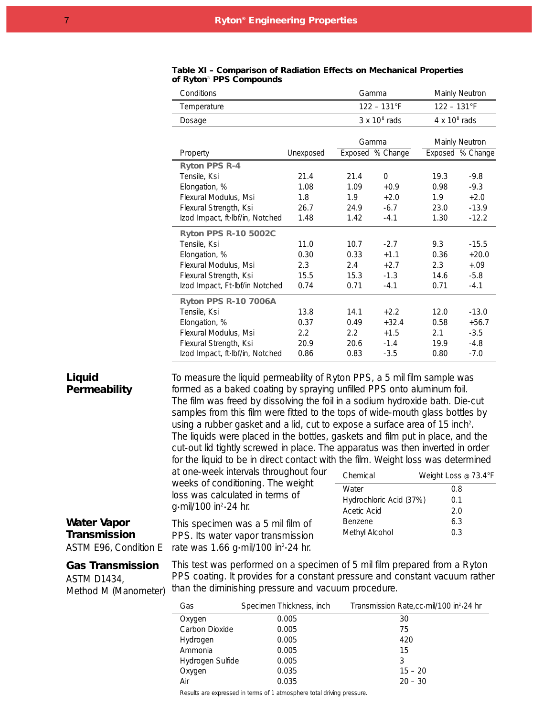| Conditions                      |           |      | Gamma                |                      | Mainly Neutron   |  |
|---------------------------------|-----------|------|----------------------|----------------------|------------------|--|
| Temperature                     |           |      | $122 - 131$ °F       |                      | $122 - 131$ °F   |  |
| Dosage                          |           |      | $3 \times 10^8$ rads | $4 \times 10^8$ rads |                  |  |
|                                 |           |      |                      |                      |                  |  |
|                                 |           |      | Gamma                |                      | Mainly Neutron   |  |
| Property                        | Unexposed |      | Exposed % Change     |                      | Exposed % Change |  |
| <b>Ryton PPS R-4</b>            |           |      |                      |                      |                  |  |
| Tensile, Ksi                    | 21.4      | 21.4 | $\Omega$             | 19.3                 | $-9.8$           |  |
| Elongation, %                   | 1.08      | 1.09 | $+0.9$               | 0.98                 | $-9.3$           |  |
| Flexural Modulus, Msi           | 1.8       | 1.9  | $+2.0$               | 1.9                  | $+2.0$           |  |
| Flexural Strength, Ksi          | 26.7      | 24.9 | $-6.7$               | 23.0                 | $-13.9$          |  |
| Izod Impact, ft·lbf/in, Notched | 1.48      | 1.42 | $-4.1$               | 1.30                 | $-12.2$          |  |
| <b>Ryton PPS R-10 5002C</b>     |           |      |                      |                      |                  |  |
| Tensile, Ksi                    | 11.0      | 10.7 | $-2.7$               | 9.3                  | $-15.5$          |  |
| Elongation, %                   | 0.30      | 0.33 | $+1.1$               | 0.36                 | $+20.0$          |  |
| Flexural Modulus, Msi           | 2.3       | 2.4  | $+2.7$               | 2.3                  | $+.09$           |  |
| Flexural Strength, Ksi          | 15.5      | 15.3 | $-1.3$               | 14.6                 | $-5.8$           |  |
| Izod Impact, Ft·Ibf/in Notched  | 0.74      | 0.71 | $-4.1$               | 0.71                 | $-4.1$           |  |
| <b>Ryton PPS R-10 7006A</b>     |           |      |                      |                      |                  |  |
| Tensile, Ksi                    | 13.8      | 14.1 | $+2.2$               | 12.0                 | $-13.0$          |  |
| Elongation, %                   | 0.37      | 0.49 | $+32.4$              | 0.58                 | $+56.7$          |  |
| Flexural Modulus, Msi           | 2.2       | 2.2  | $+1.5$               | 2.1                  | $-3.5$           |  |
| Flexural Strength, Ksi          | 20.9      | 20.6 | $-1.4$               | 19.9                 | $-4.8$           |  |
| Izod Impact, ft·lbf/in, Notched | 0.86      | 0.83 | $-3.5$               | 0.80                 | $-7.0$           |  |
|                                 |           |      |                      |                      |                  |  |

#### **Table XI – Comparison of Radiation Effects on Mechanical Properties of Ryton**® **PPS Compounds**

## **Liquid Permeability**

To measure the liquid permeability of Ryton PPS, a 5 mil film sample was formed as a baked coating by spraying unfilled PPS onto aluminum foil. The film was freed by dissolving the foil in a sodium hydroxide bath. Die-cut samples from this film were fitted to the tops of wide-mouth glass bottles by using a rubber gasket and a lid, cut to expose a surface area of 15 inch<sup>2</sup>. The liquids were placed in the bottles, gaskets and film put in place, and the cut-out lid tightly screwed in place. The apparatus was then inverted in order for the liquid to be in direct contact with the film. Weight loss was determined

at one-week intervals throughout four weeks of conditioning. The weight loss was calculated in terms of g•mil/100 in2•24 hr.

This specimen was a 5 mil film of PPS. Its water vapor transmission rate was 1.66 g·mil/100 in<sup>2</sup>·24 hr.

| Chemical                | Weight Loss @ 73.4°F |
|-------------------------|----------------------|
| Water                   | 0.8                  |
| Hydrochloric Acid (37%) | 0.1                  |
| Acetic Acid             | 2.0                  |
| <b>Benzene</b>          | 6.3                  |
| Methyl Alcohol          | 0.3                  |

## **Water Vapor Transmission**

*ASTM E96, Condition E*

## **Gas Transmission**

*ASTM D1434, Method M (Manometer)*

This test was performed on a specimen of 5 mil film prepared from a Ryton PPS coating. It provides for a constant pressure and constant vacuum rather than the diminishing pressure and vacuum procedure.

| Gas              | Specimen Thickness, inch | Transmission Rate,cc.mil/100 in <sup>2</sup> .24 hr |
|------------------|--------------------------|-----------------------------------------------------|
| Oxygen           | 0.005                    | 30                                                  |
| Carbon Dioxide   | 0.005                    | 75                                                  |
| Hydrogen         | 0.005                    | 420                                                 |
| Ammonia          | 0.005                    | 15                                                  |
| Hydrogen Sulfide | 0.005                    |                                                     |
| Oxygen           | 0.035                    | $15 - 20$                                           |
| Air              | 0.035                    | $20 - 30$                                           |

Results are expressed in terms of 1 atmosphere total driving pressure.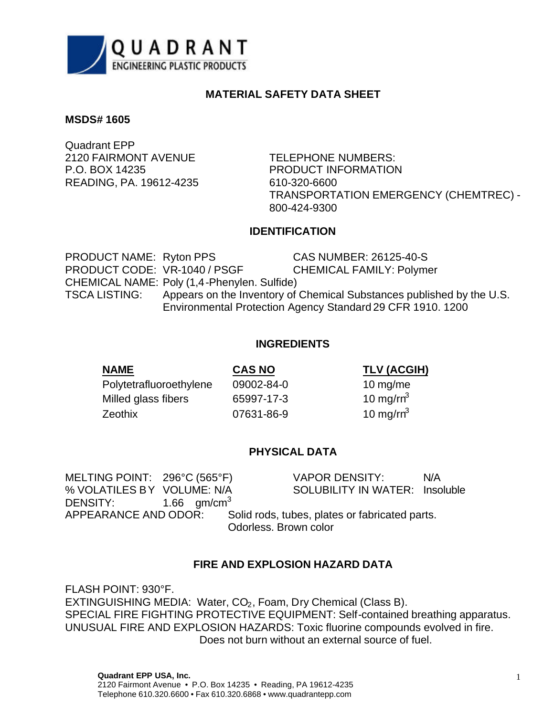

## **MATERIAL SAFETY DATA SHEET**

## **MSDS# 1605**

Quadrant EPP 2120 FAIRMONT AVENUE TELEPHONE NUMBERS: P.O. BOX 14235 PRODUCT INFORMATION READING, PA. 19612-4235 610-320-6600

TRANSPORTATION EMERGENCY (CHEMTREC) - 800-424-9300

## **IDENTIFICATION**

PRODUCT NAME: Ryton PPS CAS NUMBER: 26125-40-S PRODUCT CODE: VR-1040 / PSGF CHEMICAL FAMILY: Polymer CHEMICAL NAME: Poly (1,4-Phenylen. Sulfide) TSCA LISTING: Appears on the Inventory of Chemical Substances published by the U.S. Environmental Protection Agency Standard 29 CFR 1910. 1200

## **INGREDIENTS**

| <b>NAME</b>             | <b>CAS NO</b> | <b>TLV (ACGIH)</b> |
|-------------------------|---------------|--------------------|
| Polytetrafluoroethylene | 09002-84-0    | 10 $mg$ /me        |
| Milled glass fibers     | 65997-17-3    | 10 mg/ $rn^3$      |
| Zeothix                 | 07631-86-9    | 10 mg/ $rn^3$      |

## **PHYSICAL DATA**

MELTING POINT: 296°C (565°F) VAPOR DENSITY: N/A DENSITY:  $1.66$  gm/cm<sup>3</sup>

% VOLATILES BY VOLUME: N/A SOLUBILITY IN WATER: Insoluble

APPEARANCE AND ODOR: Solid rods, tubes, plates or fabricated parts. Odorless. Brown color

## **FIRE AND EXPLOSION HAZARD DATA**

FLASH POINT: 930°F. EXTINGUISHING MEDIA: Water, CO<sub>2</sub>, Foam, Dry Chemical (Class B). SPECIAL FIRE FIGHTING PROTECTIVE EQUIPMENT: Self-contained breathing apparatus. UNUSUAL FIRE AND EXPLOSION HAZARDS: Toxic fluorine compounds evolved in fire. Does not burn without an external source of fuel.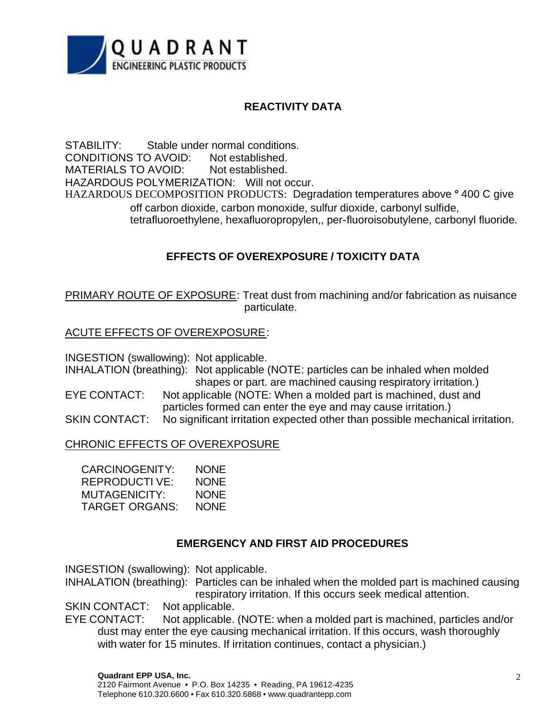

## **REACTIVITY DATA**

STABILITY: Stable under normal conditions. CONDITIONS TO AVOID: Not established. MATERIALS TO AVOID: Not established. HAZARDOUS POLYMERIZATION: Will not occur. HAZARDOUS DECOMPOSITION PRODUCTS: Degradation temperatures above **°** 400 C give off carbon dioxide, carbon monoxide, sulfur dioxide, carbonyl sulfide, tetrafluoroethylene, hexafluoropropylen,, per-fluoroisobutylene, carbonyl fluoride.

## **EFFECTS OF OVEREXPOSURE / TOXICITY DATA**

PRIMARY ROUTE OF EXPOSURE: Treat dust from machining and/or fabrication as nuisance particulate.

## ACUTE EFFECTS OF OVEREXPOSURE:

INGESTION (swallowing): Not applicable.

INHALATION (breathing): Not applicable (NOTE: particles can be inhaled when molded shapes or part. are machined causing respiratory irritation.)

EYE CONTACT: Not applicable (NOTE: When a molded part is machined, dust and particles formed can enter the eye and may cause irritation.)

SKIN CONTACT: No significant irritation expected other than possible mechanical irritation.

## CHRONIC EFFECTS OF OVEREXPOSURE

| CARCINOGENITY:       | <b>NONE</b> |
|----------------------|-------------|
| <b>REPRODUCTIVE:</b> | <b>NONE</b> |
| MUTAGENICITY:        | <b>NONE</b> |
| TARGET ORGANS:       | <b>NONE</b> |

## **EMERGENCY AND FIRST AID PROCEDURES**

INGESTION (swallowing): Not applicable.

INHALATION (breathing): Particles can be inhaled when the molded part is machined causing respiratory irritation. If this occurs seek medical attention.

SKIN CONTACT: Not applicable.

EYE CONTACT: Not applicable. (NOTE: when a molded part is machined, particles and/or dust may enter the eye causing mechanical irritation. If this occurs, wash thoroughly with water for 15 minutes. If irritation continues, contact a physician.)